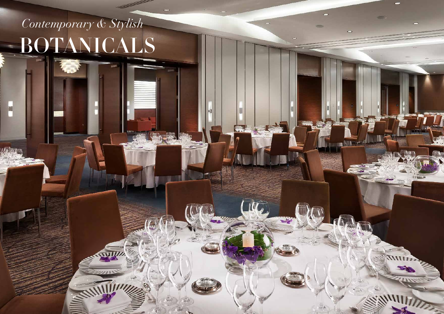## *Contemporary & Stylish* BOTANICALS

TC.

**ITTEL** 

H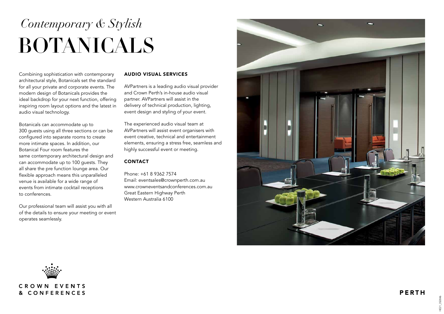## *Contemporary & Stylish* BOTANICALS

Combining sophistication with contemporary architectural style, Botanicals set the standard for all your private and corporate events. The modern design of Botanicals provides the ideal backdrop for your next function, offering inspiring room layout options and the latest in audio visual technology.

Botanicals can accommodate up to 300 guests using all three sections or can be configured into separate rooms to create more intimate spaces. In addition, our Botanical Four room features the same contemporary architectural design and can accommodate up to 100 guests. They all share the pre function lounge area. Our flexible approach means this unparalleled venue is available for a wide range of events from intimate cocktail receptions to conferences.

Our professional team will assist you with all of the details to ensure your meeting or event operates seamlessly.

## AUDIO VISUAL SERVICES

AVPartners is a leading audio visual provider and Crown Perth's in-house audio visual partner. AVPartners will assist in the delivery of technical production, lighting, event design and styling of your event.

The experienced audio visual team at AVPartners will assist event organisers with event creative, technical and entertainment elements, ensuring a stress free, seamless and highly successful event or meeting.

## **CONTACT**

Phone: +61 8 9362 7574 Email: eventsales@crownperth.com.au www.crowneventsandconferences.com.au Great Eastern Highway Perth Western Australia 6100